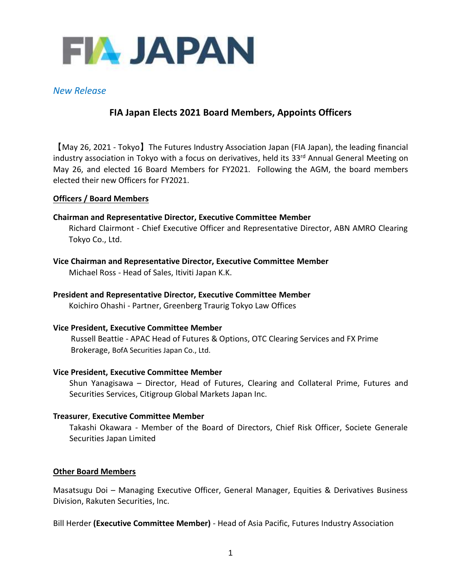

## *New Release*

# **FIA Japan Elects 2021 Board Members, Appoints Officers**

【May 26, 2021 - Tokyo】The Futures Industry Association Japan (FIA Japan), the leading financial industry association in Tokyo with a focus on derivatives, held its 33<sup>rd</sup> Annual General Meeting on May 26, and elected 16 Board Members for FY2021. Following the AGM, the board members elected their new Officers for FY2021.

#### **Officers / Board Members**

#### **Chairman and Representative Director, Executive Committee Member**

Richard Clairmont - Chief Executive Officer and Representative Director, ABN AMRO Clearing Tokyo Co., Ltd.

**Vice Chairman and Representative Director, Executive Committee Member** Michael Ross - Head of Sales, Itiviti Japan K.K.

**President and Representative Director, Executive Committee Member**

Koichiro Ohashi - Partner, Greenberg Traurig Tokyo Law Offices

#### **Vice President, Executive Committee Member**

Russell Beattie - APAC Head of Futures & Options, OTC Clearing Services and FX Prime Brokerage, BofA Securities Japan Co., Ltd.

#### **Vice President, Executive Committee Member**

Shun Yanagisawa – Director, Head of Futures, Clearing and Collateral Prime, Futures and Securities Services, Citigroup Global Markets Japan Inc.

#### **Treasurer**, **Executive Committee Member**

Takashi Okawara - Member of the Board of Directors, Chief Risk Officer, Societe Generale Securities Japan Limited

#### **Other Board Members**

Masatsugu Doi – Managing Executive Officer, General Manager, Equities & Derivatives Business Division, Rakuten Securities, Inc.

Bill Herder **(Executive Committee Member)** - Head of Asia Pacific, Futures Industry Association